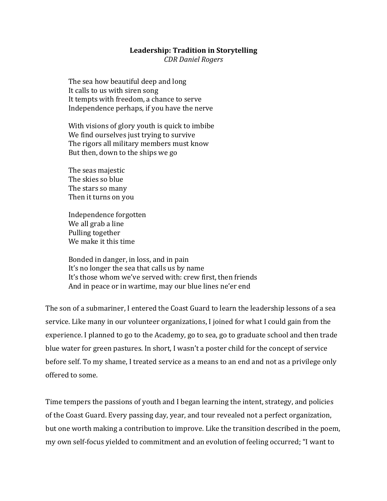#### Leadership: Tradition in Storytelling

*CDR Daniel Rogers*

The sea how beautiful deep and long It calls to us with siren song It tempts with freedom, a chance to serve Independence perhaps, if you have the nerve

With visions of glory youth is quick to imbibe We find ourselves just trying to survive The rigors all military members must know But then, down to the ships we go

The seas majestic The skies so blue The stars so many Then it turns on you

Independence forgotten We all grab a line Pulling together We make it this time

Bonded in danger, in loss, and in pain It's no longer the sea that calls us by name It's those whom we've served with: crew first, then friends And in peace or in wartime, may our blue lines ne'er end

The son of a submariner, I entered the Coast Guard to learn the leadership lessons of a sea service. Like many in our volunteer organizations, I joined for what I could gain from the experience. I planned to go to the Academy, go to sea, go to graduate school and then trade blue water for green pastures. In short, I wasn't a poster child for the concept of service before self. To my shame, I treated service as a means to an end and not as a privilege only offered to some.

Time tempers the passions of youth and I began learning the intent, strategy, and policies of the Coast Guard. Every passing day, year, and tour revealed not a perfect organization, but one worth making a contribution to improve. Like the transition described in the poem, my own self-focus yielded to commitment and an evolution of feeling occurred; "I want to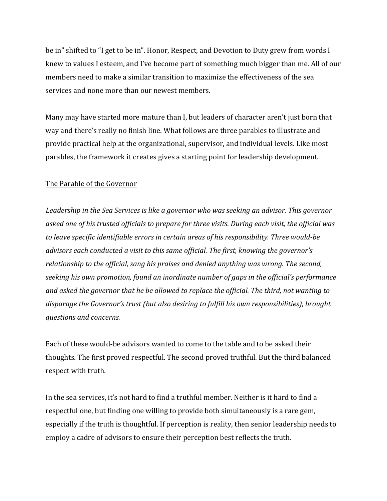be in" shifted to "I get to be in". Honor, Respect, and Devotion to Duty grew from words I knew to values I esteem, and I've become part of something much bigger than me. All of our members need to make a similar transition to maximize the effectiveness of the sea services and none more than our newest members.

Many may have started more mature than I, but leaders of character aren't just born that way and there's really no finish line. What follows are three parables to illustrate and provide practical help at the organizational, supervisor, and individual levels. Like most parables, the framework it creates gives a starting point for leadership development.

# The Parable of the Governor

Leadership in the Sea Services is like a governor who was seeking an advisor. This governor asked one of his trusted officials to prepare for three visits. During each visit, the official was to leave specific identifiable errors in certain areas of his responsibility. Three would-be *advisors each conducted a visit to this same official. The first, knowing the governor's* relationship to the official, sang his praises and denied anything was wrong. The second, seeking his own promotion, found an inordinate number of gaps in the official's performance and asked the governor that he be allowed to replace the official. The third, not wanting to *disparage the Governor's trust (but also desiring to fulfill his own responsibilities), brought questions and concerns.*

Each of these would-be advisors wanted to come to the table and to be asked their thoughts. The first proved respectful. The second proved truthful. But the third balanced respect with truth.

In the sea services, it's not hard to find a truthful member. Neither is it hard to find a respectful one, but finding one willing to provide both simultaneously is a rare gem, especially if the truth is thoughtful. If perception is reality, then senior leadership needs to employ a cadre of advisors to ensure their perception best reflects the truth.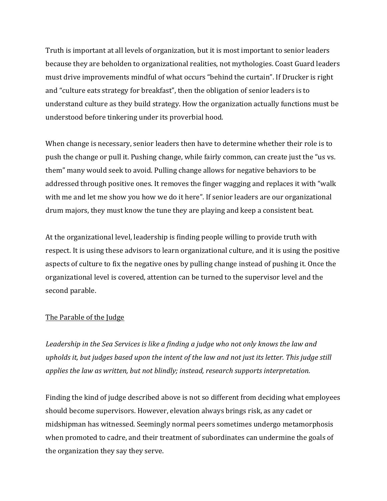Truth is important at all levels of organization, but it is most important to senior leaders because they are beholden to organizational realities, not mythologies. Coast Guard leaders must drive improvements mindful of what occurs "behind the curtain". If Drucker is right and "culture eats strategy for breakfast", then the obligation of senior leaders is to understand culture as they build strategy. How the organization actually functions must be understood before tinkering under its proverbial hood.

When change is necessary, senior leaders then have to determine whether their role is to push the change or pull it. Pushing change, while fairly common, can create just the "us vs. them" many would seek to avoid. Pulling change allows for negative behaviors to be addressed through positive ones. It removes the finger wagging and replaces it with "walk" with me and let me show you how we do it here". If senior leaders are our organizational drum majors, they must know the tune they are playing and keep a consistent beat.

At the organizational level, leadership is finding people willing to provide truth with respect. It is using these advisors to learn organizational culture, and it is using the positive aspects of culture to fix the negative ones by pulling change instead of pushing it. Once the organizational level is covered, attention can be turned to the supervisor level and the second parable.

### The Parable of the Judge

Leadership in the Sea Services is like a finding a judge who not only knows the law and *upholds* it, but judges based upon the intent of the law and not just its letter. This judge still *applies the law as written, but not blindly; instead, research supports interpretation.* 

Finding the kind of judge described above is not so different from deciding what employees should become supervisors. However, elevation always brings risk, as any cadet or midshipman has witnessed. Seemingly normal peers sometimes undergo metamorphosis when promoted to cadre, and their treatment of subordinates can undermine the goals of the organization they say they serve.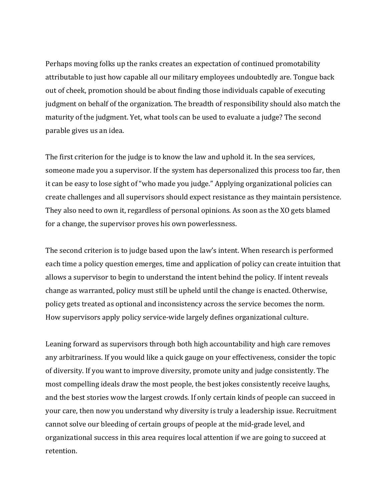Perhaps moving folks up the ranks creates an expectation of continued promotability attributable to just how capable all our military employees undoubtedly are. Tongue back out of cheek, promotion should be about finding those individuals capable of executing judgment on behalf of the organization. The breadth of responsibility should also match the maturity of the judgment. Yet, what tools can be used to evaluate a judge? The second parable gives us an idea.

The first criterion for the judge is to know the law and uphold it. In the sea services, someone made you a supervisor. If the system has depersonalized this process too far, then it can be easy to lose sight of "who made you judge." Applying organizational policies can create challenges and all supervisors should expect resistance as they maintain persistence. They also need to own it, regardless of personal opinions. As soon as the XO gets blamed for a change, the supervisor proves his own powerlessness.

The second criterion is to judge based upon the law's intent. When research is performed each time a policy question emerges, time and application of policy can create intuition that allows a supervisor to begin to understand the intent behind the policy. If intent reveals change as warranted, policy must still be upheld until the change is enacted. Otherwise, policy gets treated as optional and inconsistency across the service becomes the norm. How supervisors apply policy service-wide largely defines organizational culture.

Leaning forward as supervisors through both high accountability and high care removes any arbitrariness. If you would like a quick gauge on your effectiveness, consider the topic of diversity. If you want to improve diversity, promote unity and judge consistently. The most compelling ideals draw the most people, the best jokes consistently receive laughs, and the best stories wow the largest crowds. If only certain kinds of people can succeed in your care, then now you understand why diversity is truly a leadership issue. Recruitment cannot solve our bleeding of certain groups of people at the mid-grade level, and organizational success in this area requires local attention if we are going to succeed at retention.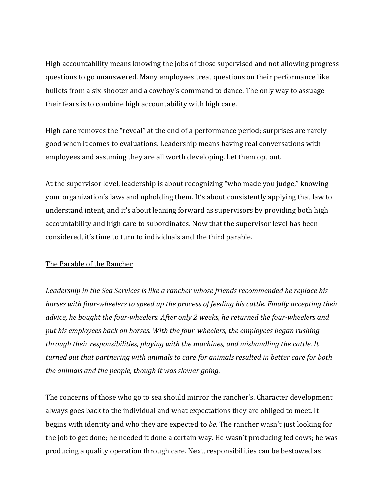High accountability means knowing the jobs of those supervised and not allowing progress questions to go unanswered. Many employees treat questions on their performance like bullets from a six-shooter and a cowboy's command to dance. The only way to assuage their fears is to combine high accountability with high care.

High care removes the "reveal" at the end of a performance period; surprises are rarely good when it comes to evaluations. Leadership means having real conversations with employees and assuming they are all worth developing. Let them opt out.

At the supervisor level, leadership is about recognizing "who made you judge," knowing your organization's laws and upholding them. It's about consistently applying that law to understand intent, and it's about leaning forward as supervisors by providing both high accountability and high care to subordinates. Now that the supervisor level has been considered, it's time to turn to individuals and the third parable.

## The Parable of the Rancher

Leadership in the Sea Services is like a rancher whose friends recommended he replace his *horses* with four-wheelers to speed up the process of feeding his cattle. Finally accepting their *advice, he bought the four-wheelers. After only 2 weeks, he returned the four-wheelers and* put his employees back on horses. With the four-wheelers, the employees began rushing *through their responsibilities, playing with the machines, and mishandling the cattle. It turned out that partnering with animals to care for animals resulted in better care for both the animals and the people, though it was slower going.* 

The concerns of those who go to sea should mirror the rancher's. Character development always goes back to the individual and what expectations they are obliged to meet. It begins with identity and who they are expected to *be*. The rancher wasn't just looking for the job to get done; he needed it done a certain way. He wasn't producing fed cows; he was producing a quality operation through care. Next, responsibilities can be bestowed as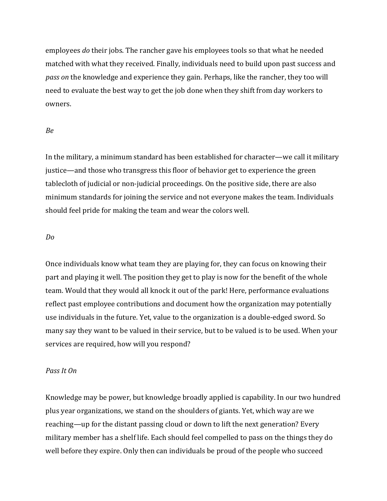employees *do* their jobs. The rancher gave his employees tools so that what he needed matched with what they received. Finally, individuals need to build upon past success and *pass on* the knowledge and experience they gain. Perhaps, like the rancher, they too will need to evaluate the best way to get the job done when they shift from day workers to owners.

### *Be*

In the military, a minimum standard has been established for character—we call it military justice—and those who transgress this floor of behavior get to experience the green tablecloth of judicial or non-judicial proceedings. On the positive side, there are also minimum standards for joining the service and not everyone makes the team. Individuals should feel pride for making the team and wear the colors well.

#### *Do*

Once individuals know what team they are playing for, they can focus on knowing their part and playing it well. The position they get to play is now for the benefit of the whole team. Would that they would all knock it out of the park! Here, performance evaluations reflect past employee contributions and document how the organization may potentially use individuals in the future. Yet, value to the organization is a double-edged sword. So many say they want to be valued in their service, but to be valued is to be used. When your services are required, how will you respond?

### *Pass It On*

Knowledge may be power, but knowledge broadly applied is capability. In our two hundred plus year organizations, we stand on the shoulders of giants. Yet, which way are we reaching—up for the distant passing cloud or down to lift the next generation? Every military member has a shelf life. Each should feel compelled to pass on the things they do well before they expire. Only then can individuals be proud of the people who succeed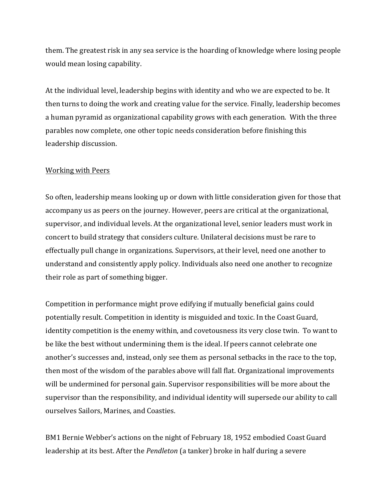them. The greatest risk in any sea service is the hoarding of knowledge where losing people would mean losing capability.

At the individual level, leadership begins with identity and who we are expected to be. It then turns to doing the work and creating value for the service. Finally, leadership becomes a human pyramid as organizational capability grows with each generation. With the three parables now complete, one other topic needs consideration before finishing this leadership discussion.

## Working with Peers

So often, leadership means looking up or down with little consideration given for those that accompany us as peers on the journey. However, peers are critical at the organizational, supervisor, and individual levels. At the organizational level, senior leaders must work in concert to build strategy that considers culture. Unilateral decisions must be rare to effectually pull change in organizations. Supervisors, at their level, need one another to understand and consistently apply policy. Individuals also need one another to recognize their role as part of something bigger.

Competition in performance might prove edifying if mutually beneficial gains could potentially result. Competition in identity is misguided and toxic. In the Coast Guard, identity competition is the enemy within, and covetousness its very close twin. To want to be like the best without undermining them is the ideal. If peers cannot celebrate one another's successes and, instead, only see them as personal setbacks in the race to the top, then most of the wisdom of the parables above will fall flat. Organizational improvements will be undermined for personal gain. Supervisor responsibilities will be more about the supervisor than the responsibility, and individual identity will supersede our ability to call ourselves Sailors, Marines, and Coasties.

BM1 Bernie Webber's actions on the night of February 18, 1952 embodied Coast Guard leadership at its best. After the *Pendleton* (a tanker) broke in half during a severe